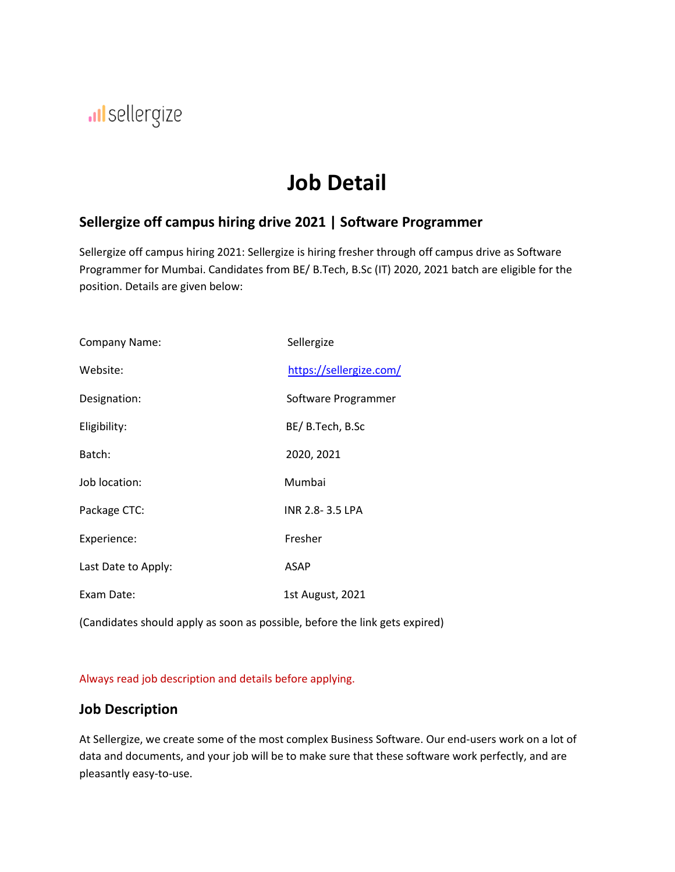# Il sellergize

# **Job Detail**

### **Sellergize off campus hiring drive 2021 | Software Programmer**

Sellergize off campus hiring 2021: Sellergize is hiring fresher through off campus drive as Software Programmer for Mumbai. Candidates from BE/ B.Tech, B.Sc (IT) 2020, 2021 batch are eligible for the position. Details are given below:

| Company Name:       | Sellergize              |
|---------------------|-------------------------|
| Website:            | https://sellergize.com/ |
| Designation:        | Software Programmer     |
| Eligibility:        | BE/ B.Tech, B.Sc        |
| Batch:              | 2020, 2021              |
| Job location:       | Mumbai                  |
| Package CTC:        | INR 2.8-3.5 LPA         |
| Experience:         | Fresher                 |
| Last Date to Apply: | <b>ASAP</b>             |
| Exam Date:          | 1st August, 2021        |

(Candidates should apply as soon as possible, before the link gets expired)

Always read job description and details before applying.

#### **Job Description**

At Sellergize, we create some of the most complex Business Software. Our end-users work on a lot of data and documents, and your job will be to make sure that these software work perfectly, and are pleasantly easy-to-use.